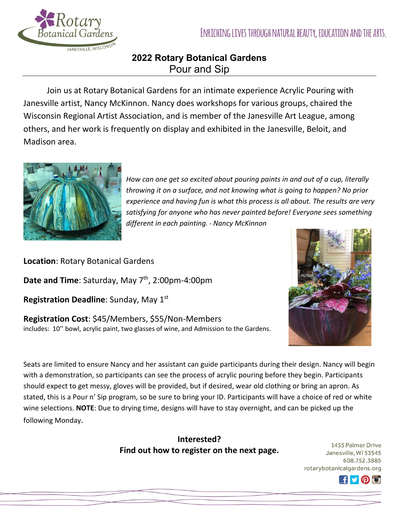

## **2022 Rotary Botanical Gardens**  Pour and Sip

Join us at Rotary Botanical Gardens for an intimate experience Acrylic Pouring with Janesville artist, Nancy McKinnon. Nancy does workshops for various groups, chaired the Wisconsin Regional Artist Association, and is member of the Janesville Art League, among others, and her work is frequently on display and exhibited in the Janesville, Beloit, and Madison area.



*How can one get so excited about pouring paints in and out of a cup, literally throwing it on a surface, and not knowing what is going to happen? No prior experience and having fun is what this process is all about. The results are very satisfying for anyone who has never painted before! Everyone sees something different in each painting. - Nancy McKinnon* 

**Location**: Rotary Botanical Gardens

**Date and Time**: Saturday, May 7<sup>th</sup>, 2:00pm-4:00pm

**Registration Deadline**: Sunday, May 1st

**Registration Cost**: \$45/Members, \$55/Non-Members includes: 10'' bowl, acrylic paint, two glasses of wine, and Admission to the Gardens.



Seats are limited to ensure Nancy and her assistant can guide participants during their design. Nancy will begin with a demonstration, so participants can see the process of acrylic pouring before they begin. Participants should expect to get messy, gloves will be provided, but if desired, wear old clothing or bring an apron. As stated, this is a Pour n' Sip program, so be sure to bring your ID. Participants will have a choice of red or white wine selections. **NOTE**: Due to drying time, designs will have to stay overnight, and can be picked up the following Monday.

> **Interested? Find out how to register on the next page.**

1455 Palmer Drive Janesville, WI 53545 608.752.3885 rotarybotanicalgardens.org